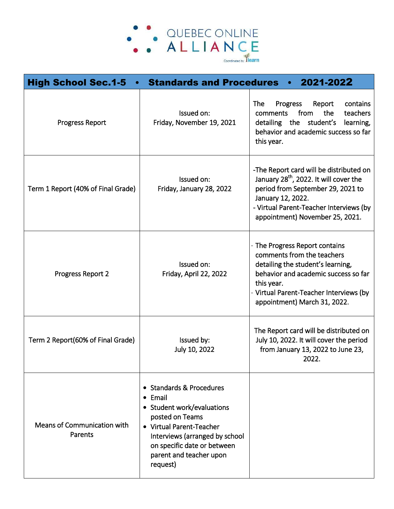

| <b>High School Sec.1-5</b>             | <b>Standards and Procedures</b>                                                                                                                                                                                                  | 2021-2022                                                                                                                                                                                                                             |
|----------------------------------------|----------------------------------------------------------------------------------------------------------------------------------------------------------------------------------------------------------------------------------|---------------------------------------------------------------------------------------------------------------------------------------------------------------------------------------------------------------------------------------|
| <b>Progress Report</b>                 | Issued on:<br>Friday, November 19, 2021                                                                                                                                                                                          | <b>The</b><br><b>Progress</b><br>contains<br>Report<br>from<br>the<br>teachers<br>comments<br>detailing the<br>student's<br>learning,<br>behavior and academic success so far<br>this year.                                           |
| Term 1 Report (40% of Final Grade)     | Issued on:<br>Friday, January 28, 2022                                                                                                                                                                                           | -The Report card will be distributed on<br>January 28 <sup>th</sup> , 2022. It will cover the<br>period from September 29, 2021 to<br>January 12, 2022.<br>- Virtual Parent-Teacher Interviews (by<br>appointment) November 25, 2021. |
| Progress Report 2                      | Issued on:<br>Friday, April 22, 2022                                                                                                                                                                                             | - The Progress Report contains<br>comments from the teachers<br>detailing the student's learning,<br>behavior and academic success so far<br>this year.<br>Virtual Parent-Teacher Interviews (by<br>appointment) March 31, 2022.      |
| Term 2 Report(60% of Final Grade)      | Issued by:<br>July 10, 2022                                                                                                                                                                                                      | The Report card will be distributed on<br>July 10, 2022. It will cover the period<br>from January 13, 2022 to June 23,<br>2022.                                                                                                       |
| Means of Communication with<br>Parents | • Standards & Procedures<br>$\bullet$ Email<br>• Student work/evaluations<br>posted on Teams<br>• Virtual Parent-Teacher<br>Interviews (arranged by school<br>on specific date or between<br>parent and teacher upon<br>request) |                                                                                                                                                                                                                                       |